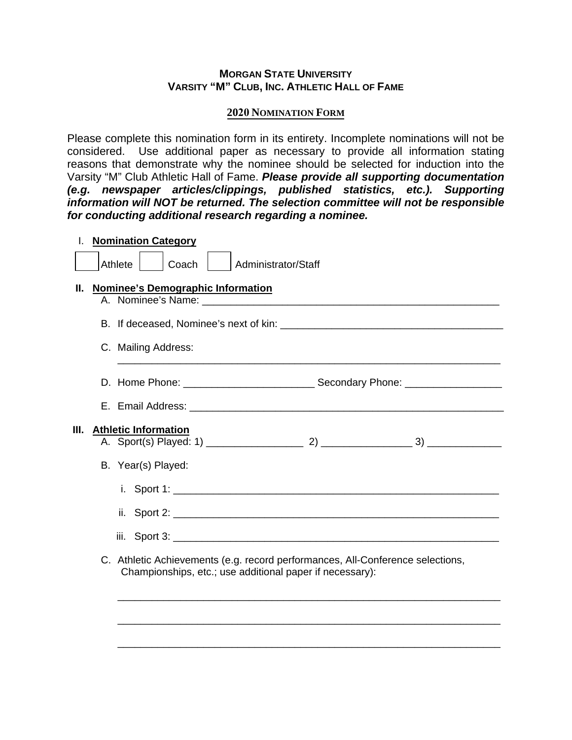# **MORGAN STATE UNIVERSITY VARSITY "M" CLUB, INC. ATHLETIC HALL OF FAME**

### **2020 NOMINATION FORM**

Please complete this nomination form in its entirety. Incomplete nominations will not be considered. Use additional paper as necessary to provide all information stating reasons that demonstrate why the nominee should be selected for induction into the Varsity "M" Club Athletic Hall of Fame. *Please provide all supporting documentation (e.g. newspaper articles/clippings, published statistics, etc.). Supporting information will NOT be returned. The selection committee will not be responsible for conducting additional research regarding a nominee.* 

|    | <b>Nomination Category</b> |                                                                                                                                            |  |  |
|----|----------------------------|--------------------------------------------------------------------------------------------------------------------------------------------|--|--|
|    | Athlete                    | Coach<br>Administrator/Staff                                                                                                               |  |  |
| Н. |                            | <b>Nominee's Demographic Information</b>                                                                                                   |  |  |
|    |                            |                                                                                                                                            |  |  |
|    |                            | C. Mailing Address:<br><u> 1989 - Jan James James James James James James James James James James James James James James James James</u>  |  |  |
|    |                            |                                                                                                                                            |  |  |
|    |                            |                                                                                                                                            |  |  |
| Ш. |                            | <b>Athletic Information</b>                                                                                                                |  |  |
|    |                            | B. Year(s) Played:                                                                                                                         |  |  |
|    |                            |                                                                                                                                            |  |  |
|    |                            |                                                                                                                                            |  |  |
|    |                            |                                                                                                                                            |  |  |
|    |                            | C. Athletic Achievements (e.g. record performances, All-Conference selections,<br>Championships, etc.; use additional paper if necessary): |  |  |
|    |                            |                                                                                                                                            |  |  |

\_\_\_\_\_\_\_\_\_\_\_\_\_\_\_\_\_\_\_\_\_\_\_\_\_\_\_\_\_\_\_\_\_\_\_\_\_\_\_\_\_\_\_\_\_\_\_\_\_\_\_\_\_\_\_\_\_\_\_\_\_\_\_\_\_\_\_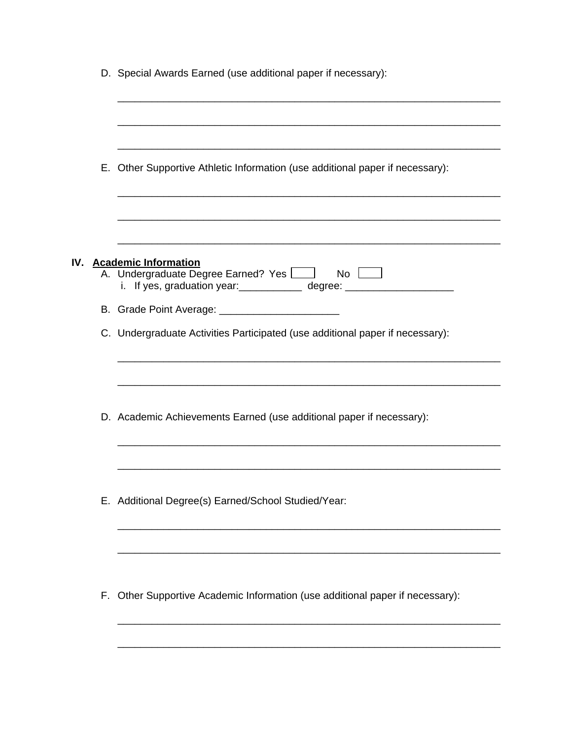|     | D. Special Awards Earned (use additional paper if necessary):                                                                                                                |
|-----|------------------------------------------------------------------------------------------------------------------------------------------------------------------------------|
|     |                                                                                                                                                                              |
|     | E. Other Supportive Athletic Information (use additional paper if necessary):                                                                                                |
|     |                                                                                                                                                                              |
| IV. |                                                                                                                                                                              |
|     | <b>Academic Information</b><br>A. Undergraduate Degree Earned? Yes Letter<br>$No$ $\Box$<br>i. If yes, graduation year: _____________ degree: ______________________________ |
|     | B. Grade Point Average: _________________________                                                                                                                            |
|     | C. Undergraduate Activities Participated (use additional paper if necessary):                                                                                                |
|     | D. Academic Achievements Earned (use additional paper if necessary):                                                                                                         |
|     |                                                                                                                                                                              |
|     | E. Additional Degree(s) Earned/School Studied/Year:                                                                                                                          |
|     |                                                                                                                                                                              |
|     | F. Other Supportive Academic Information (use additional paper if necessary):                                                                                                |
|     |                                                                                                                                                                              |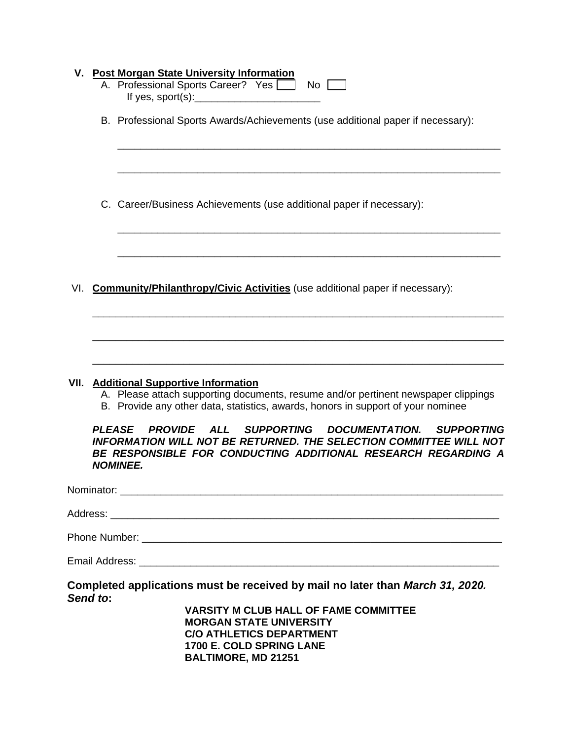|      |               | V. Post Morgan State University Information<br>A. Professional Sports Career? Yes<br>No<br>If yes, sport(s): $\frac{1}{2}$                                                                                                                                                                                                                                                                                                                                               |
|------|---------------|--------------------------------------------------------------------------------------------------------------------------------------------------------------------------------------------------------------------------------------------------------------------------------------------------------------------------------------------------------------------------------------------------------------------------------------------------------------------------|
|      |               | B. Professional Sports Awards/Achievements (use additional paper if necessary):                                                                                                                                                                                                                                                                                                                                                                                          |
|      |               | C. Career/Business Achievements (use additional paper if necessary):                                                                                                                                                                                                                                                                                                                                                                                                     |
|      |               | VI. Community/Philanthropy/Civic Activities (use additional paper if necessary):                                                                                                                                                                                                                                                                                                                                                                                         |
| VII. | <b>PLEASE</b> | <b>Additional Supportive Information</b><br>A. Please attach supporting documents, resume and/or pertinent newspaper clippings<br>B. Provide any other data, statistics, awards, honors in support of your nominee<br><b>SUPPORTING</b><br><b>PROVIDE</b><br><b>DOCUMENTATION.</b><br><b>SUPPORTING</b><br>ALL<br>INFORMATION WILL NOT BE RETURNED. THE SELECTION COMMITTEE WILL NOT<br>BE RESPONSIBLE FOR CONDUCTING ADDITIONAL RESEARCH REGARDING A<br><b>NOMINEE.</b> |
|      |               |                                                                                                                                                                                                                                                                                                                                                                                                                                                                          |
|      |               |                                                                                                                                                                                                                                                                                                                                                                                                                                                                          |
|      |               |                                                                                                                                                                                                                                                                                                                                                                                                                                                                          |
|      |               |                                                                                                                                                                                                                                                                                                                                                                                                                                                                          |
|      | Send to:      | Completed applications must be received by mail no later than March 31, 2020.                                                                                                                                                                                                                                                                                                                                                                                            |
|      |               | <b>VARSITY M CLUB HALL OF FAME COMMITTEE</b><br><b>MORGAN STATE UNIVERSITY</b><br><b>C/O ATHLETICS DEPARTMENT</b><br>1700 E. COLD SPRING LANE<br><b>BALTIMORE, MD 21251</b>                                                                                                                                                                                                                                                                                              |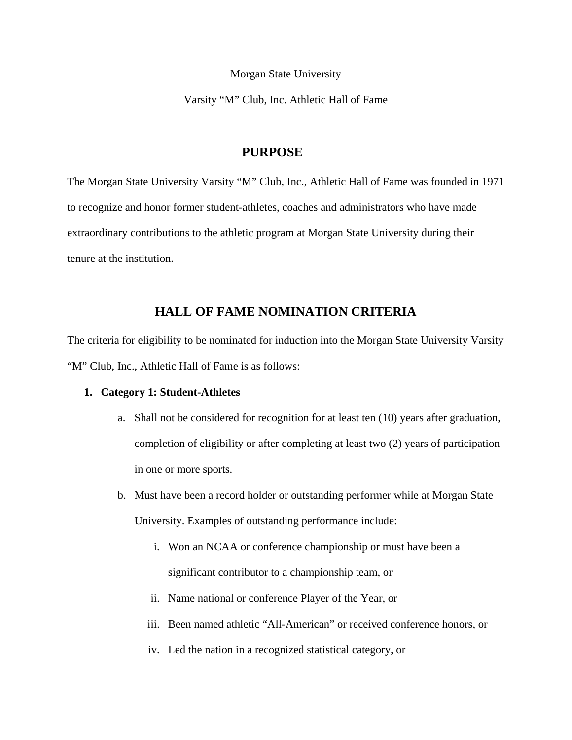Morgan State University

Varsity "M" Club, Inc. Athletic Hall of Fame

### **PURPOSE**

The Morgan State University Varsity "M" Club, Inc., Athletic Hall of Fame was founded in 1971 to recognize and honor former student-athletes, coaches and administrators who have made extraordinary contributions to the athletic program at Morgan State University during their tenure at the institution.

## **HALL OF FAME NOMINATION CRITERIA**

The criteria for eligibility to be nominated for induction into the Morgan State University Varsity "M" Club, Inc., Athletic Hall of Fame is as follows:

#### **1. Category 1: Student-Athletes**

- a. Shall not be considered for recognition for at least ten (10) years after graduation, completion of eligibility or after completing at least two (2) years of participation in one or more sports.
- b. Must have been a record holder or outstanding performer while at Morgan State University. Examples of outstanding performance include:
	- i. Won an NCAA or conference championship or must have been a significant contributor to a championship team, or
	- ii. Name national or conference Player of the Year, or
	- iii. Been named athletic "All-American" or received conference honors, or
	- iv. Led the nation in a recognized statistical category, or